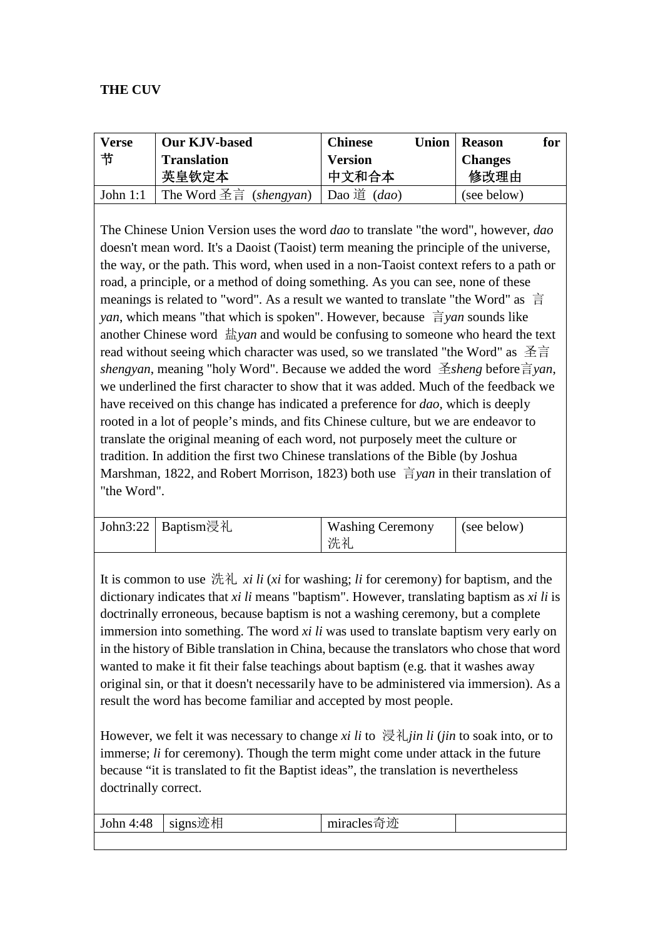## **THE CUV**

| <b>Verse</b> | <b>Our KJV-based</b>                            | <b>Chinese</b><br>Union | <b>Reason</b>  | for |
|--------------|-------------------------------------------------|-------------------------|----------------|-----|
| 节            | <b>Translation</b>                              | <b>Version</b>          | <b>Changes</b> |     |
|              | 英皇钦定本                                           | 中文和合本                   | 修改理由           |     |
|              | John 1:1   The Word 圣言 (shengyan)   Dao 道 (dao) |                         | (see below)    |     |

The Chinese Union Version uses the word *dao* to translate "the word", however, *dao* doesn't mean word. It's a Daoist (Taoist) term meaning the principle of the universe, the way, or the path. This word, when used in a non-Taoist context refers to a path or road, a principle, or a method of doing something. As you can see, none of these meanings is related to "word". As a result we wanted to translate "the Word" as 言 *yan*, which means "that which is spoken". However, because 言*yan* sounds like another Chinese word 盐*yan* and would be confusing to someone who heard the text read without seeing which character was used*,* so we translated "the Word" as 圣言 *shengyan*, meaning "holy Word". Because we added the word 圣*sheng* before言*yan*, we underlined the first character to show that it was added. Much of the feedback we have received on this change has indicated a preference for *dao,* which is deeply rooted in a lot of people's minds, and fits Chinese culture, but we are endeavor to translate the original meaning of each word, not purposely meet the culture or tradition. In addition the first two Chinese translations of the Bible (by Joshua Marshman, 1822, and Robert Morrison, 1823) both use 言*yan* in their translation of "the Word".

| John3:22   Baptism浸礼 | <b>Washing Ceremony</b> | (see below) |
|----------------------|-------------------------|-------------|
|                      | 洗礼                      |             |

It is common to use 洗礼 *xi li* (*xi* for washing; *li* for ceremony) for baptism, and the dictionary indicates that *xi li* means "baptism". However, translating baptism as *xi li* is doctrinally erroneous, because baptism is not a washing ceremony, but a complete immersion into something. The word *xi li* was used to translate baptism very early on in the history of Bible translation in China, because the translators who chose that word wanted to make it fit their false teachings about baptism (e.g. that it washes away original sin, or that it doesn't necessarily have to be administered via immersion). As a result the word has become familiar and accepted by most people.

However, we felt it was necessary to change *xi li* to 浸礼*jin li* (*jin* to soak into, or to immerse; *li* for ceremony). Though the term might come under attack in the future because "it is translated to fit the Baptist ideas", the translation is nevertheless doctrinally correct.

| John 4:48 | signs迹相 | 沙<br>пшас |  |
|-----------|---------|-----------|--|
|           |         |           |  |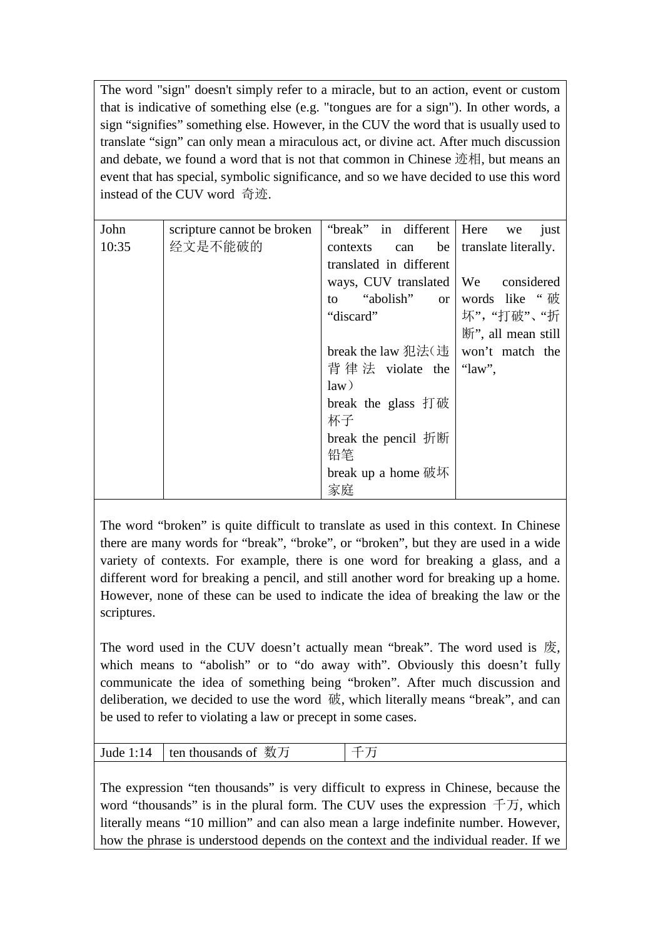The word "sign" doesn't simply refer to a miracle, but to an action, event or custom that is indicative of something else (e.g. "tongues are for a sign"). In other words, a sign "signifies" something else. However, in the CUV the word that is usually used to translate "sign" can only mean a miraculous act, or divine act. After much discussion and debate, we found a word that is not that common in Chinese 迹相, but means an event that has special, symbolic significance, and so we have decided to use this word instead of the CUV word 奇迹.

| John  | scripture cannot be broken | "break" in different   Here           | just<br>we                 |
|-------|----------------------------|---------------------------------------|----------------------------|
| 10:35 | 经文是不能破的                    | contexts can<br>be                    | translate literally.       |
|       |                            | translated in different               |                            |
|       |                            | ways, CUV translated   We considered  |                            |
|       |                            | to                                    | "abolish" or words like "破 |
|       |                            | "discard"                             | 坏", "打破"、"折                |
|       |                            |                                       | 断", all mean still         |
|       |                            | break the law 犯法( 违   won't match the |                            |
|       |                            | 背律法 violate the $\lceil$ "law",       |                            |
|       |                            | law)                                  |                            |
|       |                            | break the glass 打破                    |                            |
|       |                            | 杯子                                    |                            |
|       |                            | break the pencil 折断                   |                            |
|       |                            | 铅笔                                    |                            |
|       |                            | break up a home $\overline{w}$ W      |                            |
|       |                            | 家庭                                    |                            |

The word "broken" is quite difficult to translate as used in this context. In Chinese there are many words for "break", "broke", or "broken", but they are used in a wide variety of contexts. For example, there is one word for breaking a glass, and a different word for breaking a pencil, and still another word for breaking up a home. However, none of these can be used to indicate the idea of breaking the law or the scriptures.

The word used in the CUV doesn't actually mean "break". The word used is 废, which means to "abolish" or to "do away with". Obviously this doesn't fully communicate the idea of something being "broken". After much discussion and deliberation, we decided to use the word 破, which literally means "break", and can be used to refer to violating a law or precept in some cases.

| Jude 1:14 $\vert$ ten thousands of 数万 |  |
|---------------------------------------|--|
|                                       |  |

The expression "ten thousands" is very difficult to express in Chinese, because the word "thousands" is in the plural form. The CUV uses the expression  $\pm \overline{\overline{D}}$ , which literally means "10 million" and can also mean a large indefinite number. However, how the phrase is understood depends on the context and the individual reader. If we